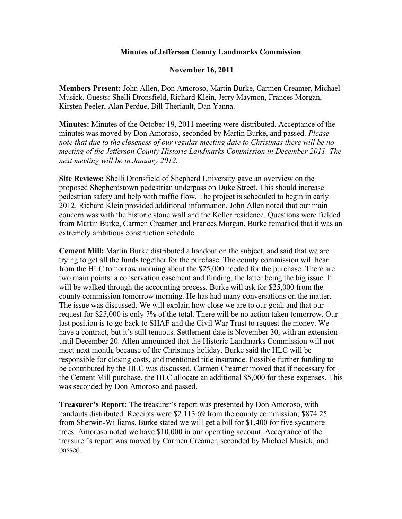## **Minutes of Jefferson County Landmarks Commission**

## **November 16, 2011**

**Members Present:** John Allen, Don Amoroso, Martin Burke, Carmen Creamer, Michael Musick. Guests: Shelli Dronsfield, Richard Klein, Jerry Maymon, Frances Morgan, Kirsten Peeler, Alan Perdue, Bill Theriault, Dan Yanna.

**Minutes:** Minutes of the October 19, 2011 meeting were distributed. Acceptance of the minutes was moved by Don Amoroso, seconded by Martin Burke, and passed. *Please note that due to the closeness of our regular meeting date to Christmas there will be no meeting of the Jefferson County Historic Landmarks Commission in December 2011. The next meeting will be in January 2012.*

**Site Reviews:** Shelli Dronsfield of Shepherd University gave an overview on the proposed Shepherdstown pedestrian underpass on Duke Street. This should increase pedestrian safety and help with traffic flow. The project is scheduled to begin in early 2012. Richard Klein provided additional information. John Allen noted that our main concern was with the historic stone wall and the Keller residence. Questions were fielded from Martin Burke, Carmen Creamer and Frances Morgan. Burke remarked that it was an extremely ambitious construction schedule.

**Cement Mill:** Martin Burke distributed a handout on the subject, and said that we are trying to get all the funds together for the purchase. The county commission will hear from the HLC tomorrow morning about the \$25,000 needed for the purchase. There are two main points: a conservation easement and funding, the latter being the big issue. It will be walked through the accounting process. Burke will ask for \$25,000 from the county commission tomorrow morning. He has had many conversations on the matter. The issue was discussed. We will explain how close we are to our goal, and that our request for \$25,000 is only 7% of the total. There will be no action taken tomorrow. Our last position is to go back to SHAF and the Civil War Trust to request the money. We have a contract, but it's still tenuous. Settlement date is November 30, with an extension until December 20. Allen announced that the Historic Landmarks Commission will **not** meet next month, because of the Christmas holiday. Burke said the HLC will be responsible for closing costs, and mentioned title insurance. Possible further funding to be contributed by the HLC was discussed. Carmen Creamer moved that if necessary for the Cement Mill purchase, the HLC allocate an additional \$5,000 for these expenses. This was seconded by Don Amoroso and passed.

**Treasurer's Report:** The treasurer's report was presented by Don Amoroso, with handouts distributed. Receipts were \$2,113.69 from the county commission; \$874.25 from Sherwin-Williams. Burke stated we will get a bill for \$1,400 for five sycamore trees. Amoroso noted we have \$10,000 in our operating account. Acceptance of the treasurer's report was moved by Carmen Creamer, seconded by Michael Musick, and passed.